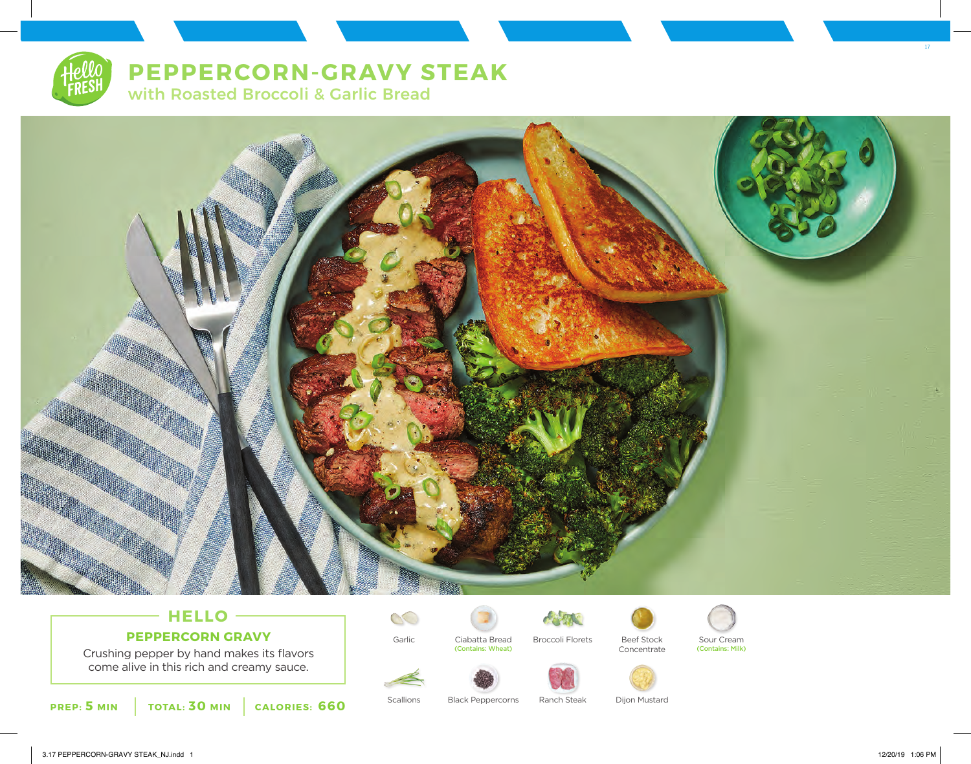# **PEPPERCORN-GRAVY STEAK**

with Roasted Broccoli & Garlic Bread



# **HELLO PEPPERCORN GRAVY**

Crushing pepper by hand makes its flavors come alive in this rich and creamy sauce.





Garlic Ciabatta Bread Broccoli Florets Beef Stock Sour Cream







Scallions Black Peppercorns Ranch Steak Dijon Mustard

3.17 PEPPERCORN-GRAVY STEAK\_NJ.indd 1 12/20/19 1:06 PM

17